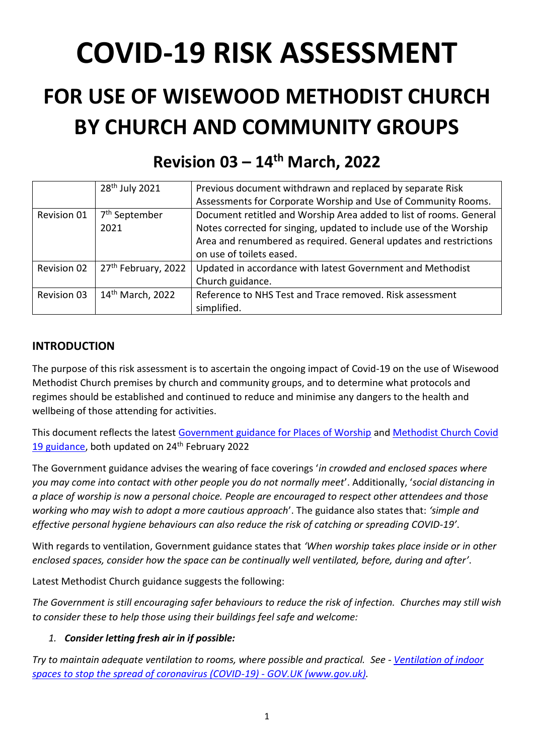# **COVID-19 RISK ASSESSMENT**

## **FOR USE OF WISEWOOD METHODIST CHURCH BY CHURCH AND COMMUNITY GROUPS**

|                    | 28 <sup>th</sup> July 2021      | Previous document withdrawn and replaced by separate Risk          |
|--------------------|---------------------------------|--------------------------------------------------------------------|
|                    |                                 | Assessments for Corporate Worship and Use of Community Rooms.      |
| Revision 01        | 7 <sup>th</sup> September       | Document retitled and Worship Area added to list of rooms. General |
|                    | 2021                            | Notes corrected for singing, updated to include use of the Worship |
|                    |                                 | Area and renumbered as required. General updates and restrictions  |
|                    |                                 | on use of toilets eased.                                           |
| Revision 02        | 27 <sup>th</sup> February, 2022 | Updated in accordance with latest Government and Methodist         |
|                    |                                 | Church guidance.                                                   |
| <b>Revision 03</b> | 14 <sup>th</sup> March, 2022    | Reference to NHS Test and Trace removed. Risk assessment           |
|                    |                                 | simplified.                                                        |

### **Revision 03 – 14 th March, 2022**

#### **INTRODUCTION**

The purpose of this risk assessment is to ascertain the ongoing impact of Covid-19 on the use of Wisewood Methodist Church premises by church and community groups, and to determine what protocols and regimes should be established and continued to reduce and minimise any dangers to the health and wellbeing of those attending for activities.

This document reflects the latest [Government guidance for Places of Worship](https://www.gov.uk/guidance/covid-19-guidance-for-the-safe-use-of-places-of-worship) and [Methodist Church Covid](https://www.methodist.org.uk/for-churches/property/coronavirus-guidance-for-property/)  [19 guidance,](https://www.methodist.org.uk/for-churches/property/coronavirus-guidance-for-property/) both updated on 24<sup>th</sup> February 2022

The Government guidance advises the wearing of face coverings '*in crowded and enclosed spaces where you may come into contact with other people you do not normally meet*'. Additionally, '*social distancing in a place of worship is now a personal choice. People are encouraged to respect other attendees and those working who may wish to adopt a more cautious approach*'. The guidance also states that: *'simple and effective personal hygiene behaviours can also reduce the risk of catching or spreading COVID-19'*.

With regards to ventilation, Government guidance states that *'When worship takes place inside or in other enclosed spaces, consider how the space can be continually well ventilated, before, during and after'*.

Latest Methodist Church guidance suggests the following:

*The Government is still encouraging safer behaviours to reduce the risk of infection. Churches may still wish to consider these to help those using their buildings feel safe and welcome:*

#### *1. Consider letting fresh air in if possible:*

*Try to maintain adequate ventilation to rooms, where possible and practical. See - [Ventilation of indoor](https://www.gov.uk/government/publications/covid-19-ventilation-of-indoor-spaces-to-stop-the-spread-of-coronavirus/ventilation-of-indoor-spaces-to-stop-the-spread-of-coronavirus-covid-19)  [spaces to stop the spread of coronavirus \(COVID-19\) -](https://www.gov.uk/government/publications/covid-19-ventilation-of-indoor-spaces-to-stop-the-spread-of-coronavirus/ventilation-of-indoor-spaces-to-stop-the-spread-of-coronavirus-covid-19) GOV.UK (www.gov.uk).*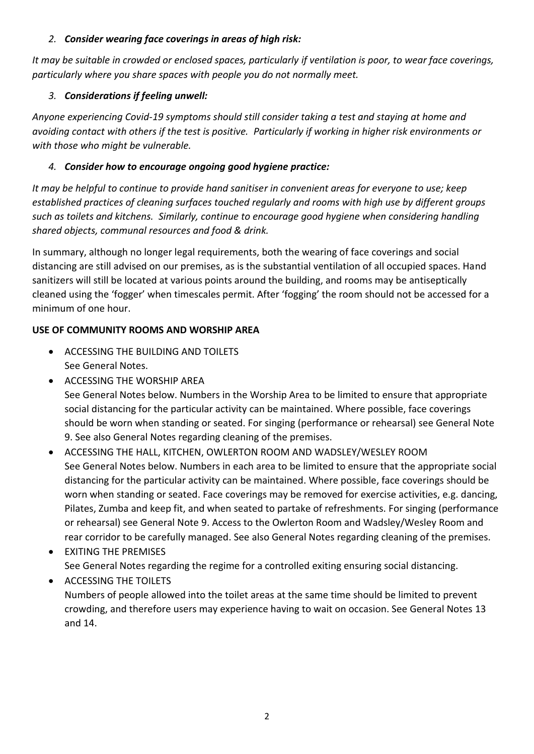#### *2. Consider wearing face coverings in areas of high risk:*

*It may be suitable in crowded or enclosed spaces, particularly if ventilation is poor, to wear face coverings, particularly where you share spaces with people you do not normally meet.*

#### *3. Considerations if feeling unwell:*

*Anyone experiencing Covid-19 symptoms should still consider taking a test and staying at home and avoiding contact with others if the test is positive. Particularly if working in higher risk environments or with those who might be vulnerable.*

#### *4. Consider how to encourage ongoing good hygiene practice:*

*It may be helpful to continue to provide hand sanitiser in convenient areas for everyone to use; keep established practices of cleaning surfaces touched regularly and rooms with high use by different groups such as toilets and kitchens. Similarly, continue to encourage good hygiene when considering handling shared objects, communal resources and food & drink.*

In summary, although no longer legal requirements, both the wearing of face coverings and social distancing are still advised on our premises, as is the substantial ventilation of all occupied spaces. Hand sanitizers will still be located at various points around the building, and rooms may be antiseptically cleaned using the 'fogger' when timescales permit. After 'fogging' the room should not be accessed for a minimum of one hour.

#### **USE OF COMMUNITY ROOMS AND WORSHIP AREA**

- ACCESSING THE BUILDING AND TOILETS See General Notes.
- ACCESSING THE WORSHIP AREA

See General Notes below. Numbers in the Worship Area to be limited to ensure that appropriate social distancing for the particular activity can be maintained. Where possible, face coverings should be worn when standing or seated. For singing (performance or rehearsal) see General Note 9. See also General Notes regarding cleaning of the premises.

- ACCESSING THE HALL, KITCHEN, OWLERTON ROOM AND WADSLEY/WESLEY ROOM See General Notes below. Numbers in each area to be limited to ensure that the appropriate social distancing for the particular activity can be maintained. Where possible, face coverings should be worn when standing or seated. Face coverings may be removed for exercise activities, e.g. dancing, Pilates, Zumba and keep fit, and when seated to partake of refreshments. For singing (performance or rehearsal) see General Note 9. Access to the Owlerton Room and Wadsley/Wesley Room and rear corridor to be carefully managed. See also General Notes regarding cleaning of the premises.
- EXITING THE PREMISES See General Notes regarding the regime for a controlled exiting ensuring social distancing.

• ACCESSING THE TOILETS Numbers of people allowed into the toilet areas at the same time should be limited to prevent crowding, and therefore users may experience having to wait on occasion. See General Notes 13 and 14.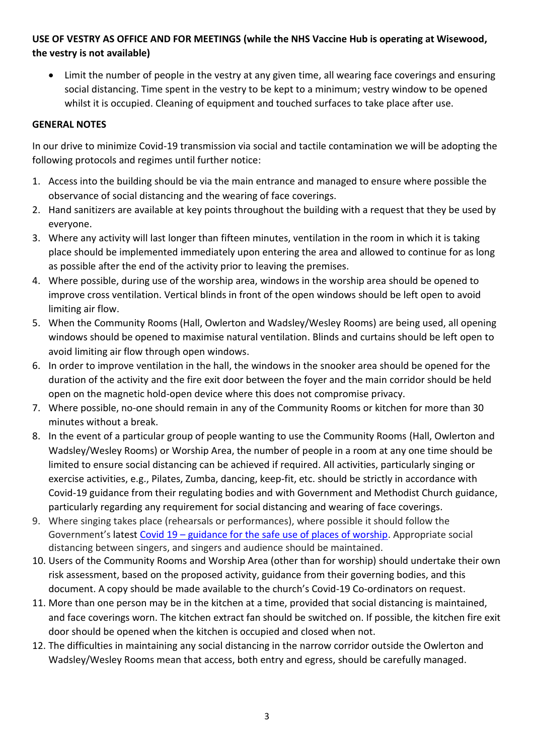#### **USE OF VESTRY AS OFFICE AND FOR MEETINGS (while the NHS Vaccine Hub is operating at Wisewood, the vestry is not available)**

• Limit the number of people in the vestry at any given time, all wearing face coverings and ensuring social distancing. Time spent in the vestry to be kept to a minimum; vestry window to be opened whilst it is occupied. Cleaning of equipment and touched surfaces to take place after use.

#### **GENERAL NOTES**

In our drive to minimize Covid-19 transmission via social and tactile contamination we will be adopting the following protocols and regimes until further notice:

- 1. Access into the building should be via the main entrance and managed to ensure where possible the observance of social distancing and the wearing of face coverings.
- 2. Hand sanitizers are available at key points throughout the building with a request that they be used by everyone.
- 3. Where any activity will last longer than fifteen minutes, ventilation in the room in which it is taking place should be implemented immediately upon entering the area and allowed to continue for as long as possible after the end of the activity prior to leaving the premises.
- 4. Where possible, during use of the worship area, windows in the worship area should be opened to improve cross ventilation. Vertical blinds in front of the open windows should be left open to avoid limiting air flow.
- 5. When the Community Rooms (Hall, Owlerton and Wadsley/Wesley Rooms) are being used, all opening windows should be opened to maximise natural ventilation. Blinds and curtains should be left open to avoid limiting air flow through open windows.
- 6. In order to improve ventilation in the hall, the windows in the snooker area should be opened for the duration of the activity and the fire exit door between the foyer and the main corridor should be held open on the magnetic hold-open device where this does not compromise privacy.
- 7. Where possible, no-one should remain in any of the Community Rooms or kitchen for more than 30 minutes without a break.
- 8. In the event of a particular group of people wanting to use the Community Rooms (Hall, Owlerton and Wadsley/Wesley Rooms) or Worship Area, the number of people in a room at any one time should be limited to ensure social distancing can be achieved if required. All activities, particularly singing or exercise activities, e.g., Pilates, Zumba, dancing, keep-fit, etc. should be strictly in accordance with Covid-19 guidance from their regulating bodies and with Government and Methodist Church guidance, particularly regarding any requirement for social distancing and wearing of face coverings.
- 9. Where singing takes place (rehearsals or performances), where possible it should follow the Government's latest Covid 19 – [guidance for the safe use of places of worship.](https://www.gov.uk/guidance/covid-19-guidance-for-the-safe-use-of-places-of-worship#singing-music-and-performances) Appropriate social distancing between singers, and singers and audience should be maintained.
- 10. Users of the Community Rooms and Worship Area (other than for worship) should undertake their own risk assessment, based on the proposed activity, guidance from their governing bodies, and this document. A copy should be made available to the church's Covid-19 Co-ordinators on request.
- 11. More than one person may be in the kitchen at a time, provided that social distancing is maintained, and face coverings worn. The kitchen extract fan should be switched on. If possible, the kitchen fire exit door should be opened when the kitchen is occupied and closed when not.
- 12. The difficulties in maintaining any social distancing in the narrow corridor outside the Owlerton and Wadsley/Wesley Rooms mean that access, both entry and egress, should be carefully managed.